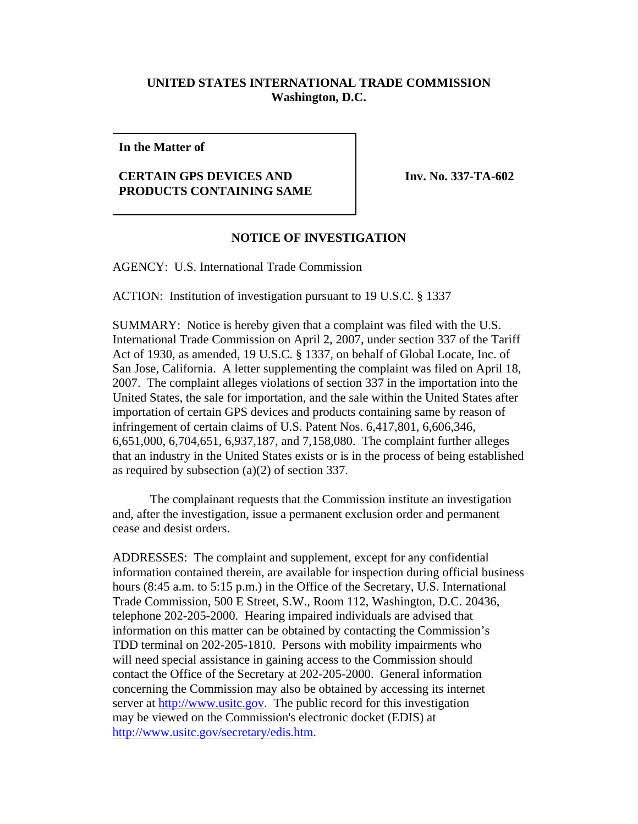## **UNITED STATES INTERNATIONAL TRADE COMMISSION Washington, D.C.**

**In the Matter of**

## **CERTAIN GPS DEVICES AND PRODUCTS CONTAINING SAME**

**Inv. No. 337-TA-602**

## **NOTICE OF INVESTIGATION**

AGENCY: U.S. International Trade Commission

ACTION: Institution of investigation pursuant to 19 U.S.C. § 1337

SUMMARY: Notice is hereby given that a complaint was filed with the U.S. International Trade Commission on April 2, 2007, under section 337 of the Tariff Act of 1930, as amended, 19 U.S.C. § 1337, on behalf of Global Locate, Inc. of San Jose, California. A letter supplementing the complaint was filed on April 18, 2007. The complaint alleges violations of section 337 in the importation into the United States, the sale for importation, and the sale within the United States after importation of certain GPS devices and products containing same by reason of infringement of certain claims of U.S. Patent Nos. 6,417,801, 6,606,346, 6,651,000, 6,704,651, 6,937,187, and 7,158,080. The complaint further alleges that an industry in the United States exists or is in the process of being established as required by subsection (a)(2) of section 337.

The complainant requests that the Commission institute an investigation and, after the investigation, issue a permanent exclusion order and permanent cease and desist orders.

ADDRESSES: The complaint and supplement, except for any confidential information contained therein, are available for inspection during official business hours (8:45 a.m. to 5:15 p.m.) in the Office of the Secretary, U.S. International Trade Commission, 500 E Street, S.W., Room 112, Washington, D.C. 20436, telephone 202-205-2000. Hearing impaired individuals are advised that information on this matter can be obtained by contacting the Commission's TDD terminal on 202-205-1810. Persons with mobility impairments who will need special assistance in gaining access to the Commission should contact the Office of the Secretary at 202-205-2000. General information concerning the Commission may also be obtained by accessing its internet server at http://www.usitc.gov. The public record for this investigation may be viewed on the Commission's electronic docket (EDIS) at http://www.usitc.gov/secretary/edis.htm.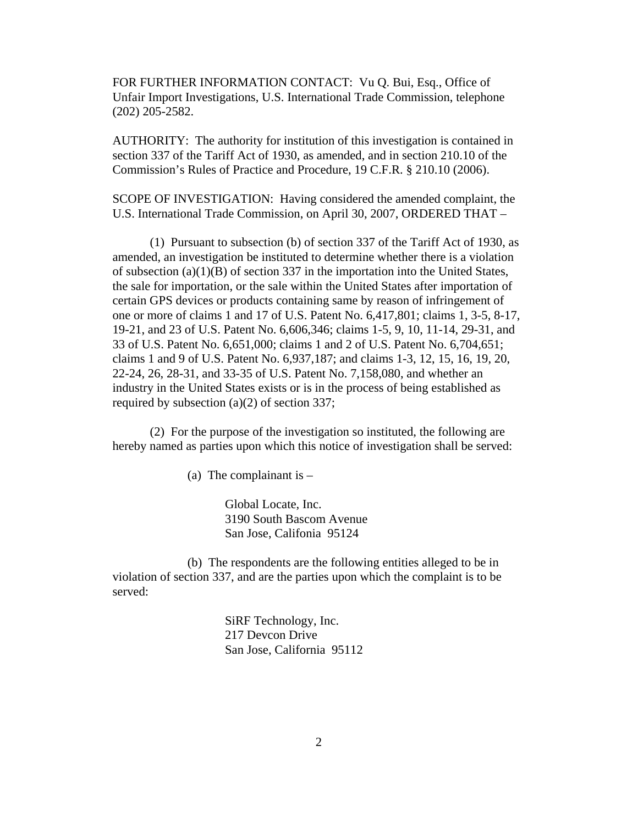FOR FURTHER INFORMATION CONTACT: Vu Q. Bui, Esq., Office of Unfair Import Investigations, U.S. International Trade Commission, telephone (202) 205-2582.

AUTHORITY: The authority for institution of this investigation is contained in section 337 of the Tariff Act of 1930, as amended, and in section 210.10 of the Commission's Rules of Practice and Procedure, 19 C.F.R. § 210.10 (2006).

SCOPE OF INVESTIGATION: Having considered the amended complaint, the U.S. International Trade Commission, on April 30, 2007, ORDERED THAT –

(1) Pursuant to subsection (b) of section 337 of the Tariff Act of 1930, as amended, an investigation be instituted to determine whether there is a violation of subsection  $(a)(1)(B)$  of section 337 in the importation into the United States, the sale for importation, or the sale within the United States after importation of certain GPS devices or products containing same by reason of infringement of one or more of claims 1 and 17 of U.S. Patent No. 6,417,801; claims 1, 3-5, 8-17, 19-21, and 23 of U.S. Patent No. 6,606,346; claims 1-5, 9, 10, 11-14, 29-31, and 33 of U.S. Patent No. 6,651,000; claims 1 and 2 of U.S. Patent No. 6,704,651; claims 1 and 9 of U.S. Patent No. 6,937,187; and claims 1-3, 12, 15, 16, 19, 20, 22-24, 26, 28-31, and 33-35 of U.S. Patent No. 7,158,080, and whether an industry in the United States exists or is in the process of being established as required by subsection (a)(2) of section 337;

(2) For the purpose of the investigation so instituted, the following are hereby named as parties upon which this notice of investigation shall be served:

(a) The complainant is  $-$ 

Global Locate, Inc. 3190 South Bascom Avenue San Jose, Califonia 95124

(b) The respondents are the following entities alleged to be in violation of section 337, and are the parties upon which the complaint is to be served:

> SiRF Technology, Inc. 217 Devcon Drive San Jose, California 95112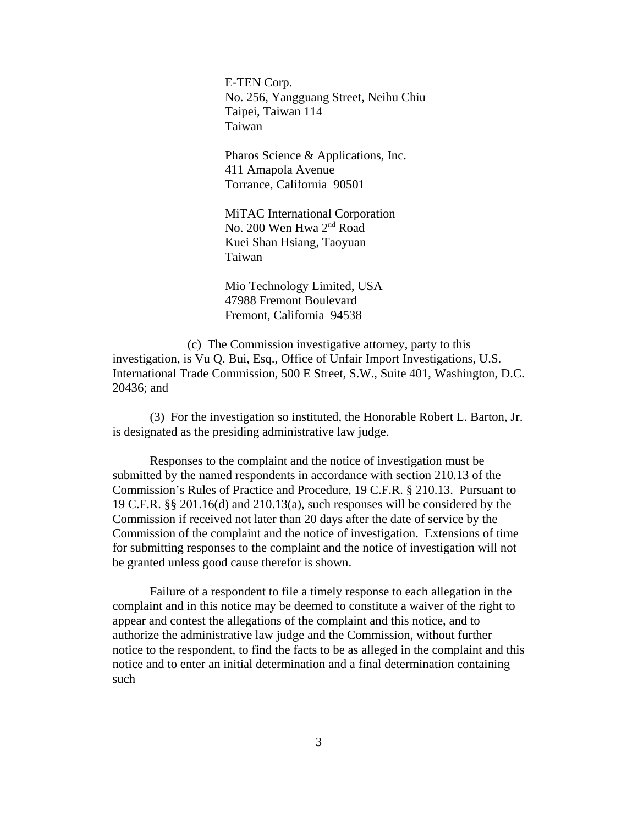E-TEN Corp. No. 256, Yangguang Street, Neihu Chiu Taipei, Taiwan 114 Taiwan

Pharos Science & Applications, Inc. 411 Amapola Avenue Torrance, California 90501

MiTAC International Corporation No. 200 Wen Hwa 2<sup>nd</sup> Road Kuei Shan Hsiang, Taoyuan Taiwan

Mio Technology Limited, USA 47988 Fremont Boulevard Fremont, California 94538

(c) The Commission investigative attorney, party to this investigation, is Vu Q. Bui, Esq., Office of Unfair Import Investigations, U.S. International Trade Commission, 500 E Street, S.W., Suite 401, Washington, D.C. 20436; and

(3) For the investigation so instituted, the Honorable Robert L. Barton, Jr. is designated as the presiding administrative law judge.

Responses to the complaint and the notice of investigation must be submitted by the named respondents in accordance with section 210.13 of the Commission's Rules of Practice and Procedure, 19 C.F.R. § 210.13. Pursuant to 19 C.F.R. §§ 201.16(d) and 210.13(a), such responses will be considered by the Commission if received not later than 20 days after the date of service by the Commission of the complaint and the notice of investigation. Extensions of time for submitting responses to the complaint and the notice of investigation will not be granted unless good cause therefor is shown.

Failure of a respondent to file a timely response to each allegation in the complaint and in this notice may be deemed to constitute a waiver of the right to appear and contest the allegations of the complaint and this notice, and to authorize the administrative law judge and the Commission, without further notice to the respondent, to find the facts to be as alleged in the complaint and this notice and to enter an initial determination and a final determination containing such